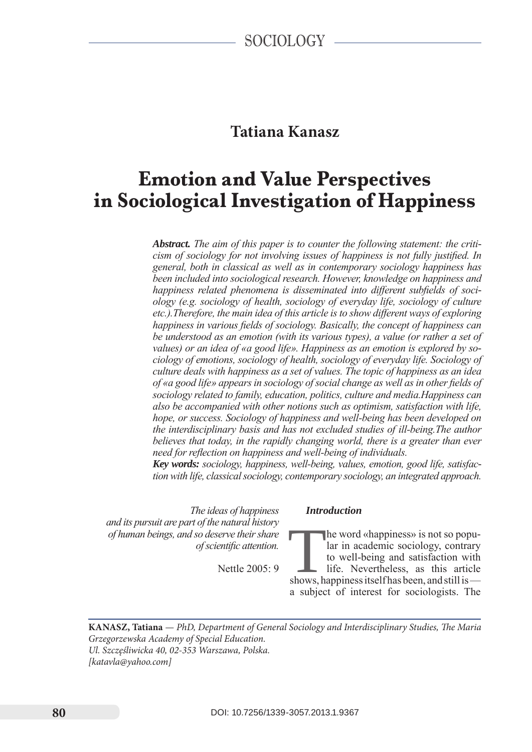# **Tatiana Kanasz**

# **Emotion and Value Perspectives in Sociological Investigation of Happiness**

*Abstract. The aim of this paper is to counter the following statement: the criticism of sociology for not involving issues of happiness is not fully justified. In general, both in classical as well as in contemporary sociology happiness has been included into sociological research. However, knowledge on happiness and happiness related phenomena is disseminated into different subfields of sociology (e.g. sociology of health, sociology of everyday life, sociology of culture etc.).Therefore, the main idea of this article is to show different ways of exploring happiness in various fields of sociology. Basically, the concept of happiness can be understood as an emotion (with its various types), a value (or rather a set of values) or an idea of «a good life». Happiness as an emotion is explored by sociology of emotions, sociology of health, sociology of everyday life. Sociology of culture deals with happiness as a set of values. The topic of happiness as an idea of «a good life» appears in sociology of social change as well as in other fields of sociology related to family, education, politics, culture and media.Happiness can also be accompanied with other notions such as optimism, satisfaction with life, hope, or success. Sociology of happiness and well-being has been developed on the interdisciplinary basis and has not excluded studies of ill-being.The author believes that today, in the rapidly changing world, there is a greater than ever need for reflection on happiness and well-being of individuals.*

*Key words: sociology, happiness, well-being, values, emotion, good life, satisfaction with life, classical sociology, contemporary sociology, an integrated approach.*

*The ideas of happiness and its pursuit are part of the natural history of human beings, and so deserve their share of scientific attention.*

Nettle 2005: 9

# *Introduction*

The word «happiness» is not so popular in academic sociology, contrary<br>to well-being and satisfaction with<br>life. Nevertheless, as this article<br>shows, happiness itself has been, and still is lar in academic sociology, contrary to well-being and satisfaction with life. Nevertheless, as this article a subject of interest for sociologists. The

**Kanas z, Tatiana** — *PhD, Department of General Sociology and Interdisciplinary Studies, The Maria Grzegorzewska Academy of Special Education. Ul. Szczęśliwicka 40, 02-353 Warszawa, Polska. [katavla@yahoo.com]*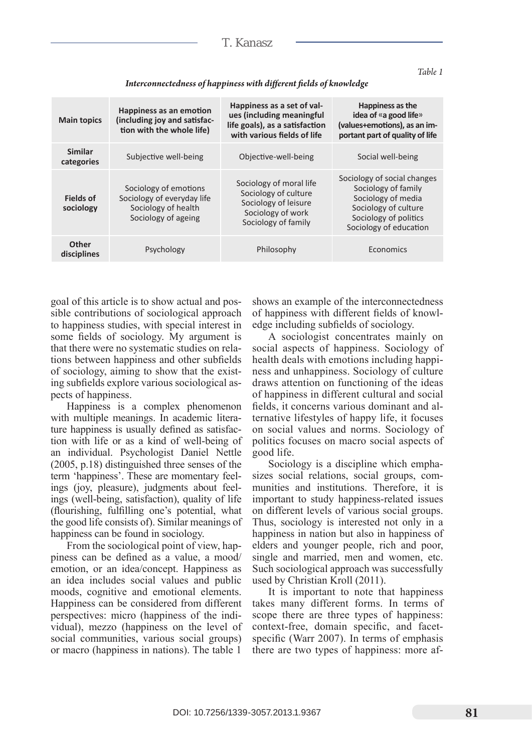| <b>Main topics</b>            | Happiness as an emotion<br>(including joy and satisfac-<br>tion with the whole life)              | Happiness as a set of val-<br>ues (including meaningful<br>life goals), as a satisfaction<br>with various fields of life | Happiness as the<br>idea of «a good life»<br>(values+emotions), as an im-<br>portant part of quality of life                                        |
|-------------------------------|---------------------------------------------------------------------------------------------------|--------------------------------------------------------------------------------------------------------------------------|-----------------------------------------------------------------------------------------------------------------------------------------------------|
| <b>Similar</b><br>categories  | Subjective well-being                                                                             | Objective-well-being                                                                                                     | Social well-being                                                                                                                                   |
| <b>Fields of</b><br>sociology | Sociology of emotions<br>Sociology of everyday life<br>Sociology of health<br>Sociology of ageing | Sociology of moral life<br>Sociology of culture<br>Sociology of leisure<br>Sociology of work<br>Sociology of family      | Sociology of social changes<br>Sociology of family<br>Sociology of media<br>Sociology of culture<br>Sociology of politics<br>Sociology of education |
| <b>Other</b><br>disciplines   | Psychology                                                                                        | Philosophy                                                                                                               | Economics                                                                                                                                           |

*Interconnectedness of happiness with different fields of knowledge*

goal of this article is to show actual and possible contributions of sociological approach to happiness studies, with special interest in some fields of sociology. My argument is that there were no systematic studies on relations between happiness and other subfields of sociology, aiming to show that the existing subfields explore various sociological aspects of happiness.

Happiness is a complex phenomenon with multiple meanings. In academic literature happiness is usually defined as satisfaction with life or as a kind of well-being of an individual. Psychologist Daniel Nettle (2005, p.18) distinguished three senses of the term 'happiness'. These are momentary feelings (joy, pleasure), judgments about feelings (well-being, satisfaction), quality of life (flourishing, fulfilling one's potential, what the good life consists of). Similar meanings of happiness can be found in sociology.

From the sociological point of view, happiness can be defined as a value, a mood/ emotion, or an idea/concept. Happiness as an idea includes social values and public moods, cognitive and emotional elements. Happiness can be considered from different perspectives: micro (happiness of the individual), mezzo (happiness on the level of social communities, various social groups) or macro (happiness in nations). The table 1

shows an example of the interconnectedness of happiness with different fields of knowledge including subfields of sociology.

A sociologist concentrates mainly on social aspects of happiness. Sociology of health deals with emotions including happiness and unhappiness. Sociology of culture draws attention on functioning of the ideas of happiness in different cultural and social fields, it concerns various dominant and alternative lifestyles of happy life, it focuses on social values and norms. Sociology of politics focuses on macro social aspects of good life.

Sociology is a discipline which emphasizes social relations, social groups, communities and institutions. Therefore, it is important to study happiness-related issues on different levels of various social groups. Thus, sociology is interested not only in a happiness in nation but also in happiness of elders and younger people, rich and poor, single and married, men and women, etc. Such sociological approach was successfully used by Christian Kroll (2011).

It is important to note that happiness takes many different forms. In terms of scope there are three types of happiness: context-free, domain specific, and facetspecific (Warr 2007). In terms of emphasis there are two types of happiness: more af-

*Table 1*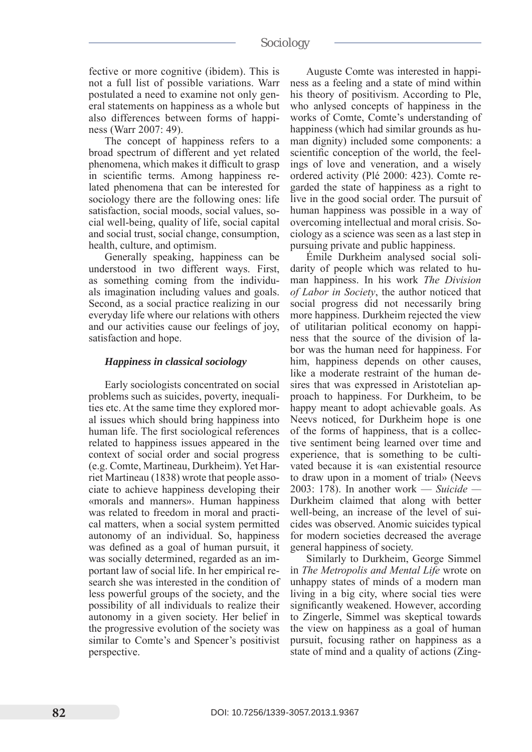fective or more cognitive (ibidem). This is not a full list of possible variations. Warr postulated a need to examine not only general statements on happiness as a whole but also differences between forms of happiness (Warr 2007: 49).

The concept of happiness refers to a broad spectrum of different and yet related phenomena, which makes it difficult to grasp in scientific terms. Among happiness related phenomena that can be interested for sociology there are the following ones: life satisfaction, social moods, social values, social well-being, quality of life, social capital and social trust, social change, consumption, health, culture, and optimism.

Generally speaking, happiness can be understood in two different ways. First, as something coming from the individuals imagination including values and goals. Second, as a social practice realizing in our everyday life where our relations with others and our activities cause our feelings of joy, satisfaction and hope.

#### *Happiness in classical sociology*

Early sociologists concentrated on social problems such as suicides, poverty, inequalities etc. At the same time they explored moral issues which should bring happiness into human life. The first sociological references related to happiness issues appeared in the context of social order and social progress (e.g. Comte, Martineau, Durkheim). Yet Harriet Martineau (1838) wrote that people associate to achieve happiness developing their «morals and manners». Human happiness was related to freedom in moral and practical matters, when a social system permitted autonomy of an individual. So, happiness was defined as a goal of human pursuit, it was socially determined, regarded as an important law of social life. In her empirical research she was interested in the condition of less powerful groups of the society, and the possibility of all individuals to realize their autonomy in a given society. Her belief in the progressive evolution of the society was similar to Comte's and Spencer's positivist perspective.

Auguste Comte was interested in happiness as a feeling and a state of mind within his theory of positivism. According to Ple, who anlysed concepts of happiness in the works of Comte, Comte's understanding of happiness (which had similar grounds as human dignity) included some components: a scientific conception of the world, the feelings of love and veneration, and a wisely ordered activity (Plé 2000: 423). Comte regarded the state of happiness as a right to live in the good social order. The pursuit of human happiness was possible in a way of overcoming intellectual and moral crisis. Sociology as a science was seen as a last step in pursuing private and public happiness.

Émile Durkheim analysed social solidarity of people which was related to human happiness. In his work *The Division of Labor in Society*, the author noticed that social progress did not necessarily bring more happiness. Durkheim rejected the view of utilitarian political economy on happiness that the source of the division of labor was the human need for happiness. For him, happiness depends on other causes, like a moderate restraint of the human desires that was expressed in Aristotelian approach to happiness. For Durkheim, to be happy meant to adopt achievable goals. As Neevs noticed, for Durkheim hope is one of the forms of happiness, that is a collective sentiment being learned over time and experience, that is something to be cultivated because it is «an existential resource to draw upon in a moment of trial» (Neevs 2003: 178). In another work — *Suicide —*  Durkheim claimed that along with better well-being, an increase of the level of suicides was observed. Anomic suicides typical for modern societies decreased the average general happiness of society.

Similarly to Durkheim, George Simmel in *The Metropolis and Mental Life* wrote on unhappy states of minds of a modern man living in a big city, where social ties were significantly weakened. However, according to Zingerle, Simmel was skeptical towards the view on happiness as a goal of human pursuit, focusing rather on happiness as a state of mind and a quality of actions (Zing-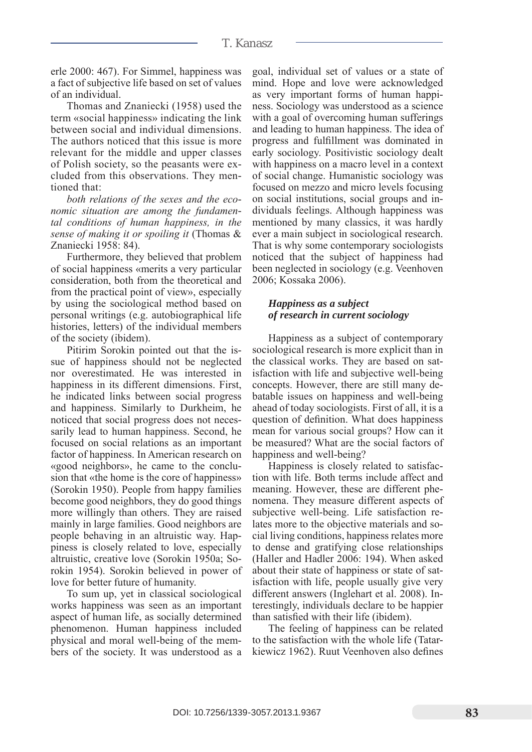erle 2000: 467). For Simmel, happiness was a fact of subjective life based on set of values of an individual.

Thomas and Znaniecki (1958) used the term «social happiness» indicating the link between social and individual dimensions. The authors noticed that this issue is more relevant for the middle and upper classes of Polish society, so the peasants were excluded from this observations. They mentioned that:

*both relations of the sexes and the economic situation are among the fundamental conditions of human happiness, in the sense of making it or spoiling it* (Thomas & Znaniecki 1958: 84).

Furthermore, they believed that problem of social happiness «merits a very particular consideration, both from the theoretical and from the practical point of view», especially by using the sociological method based on personal writings (e.g. autobiographical life histories, letters) of the individual members of the society (ibidem).

Pitirim Sorokin pointed out that the issue of happiness should not be neglected nor overestimated. He was interested in happiness in its different dimensions. First, he indicated links between social progress and happiness. Similarly to Durkheim, he noticed that social progress does not necessarily lead to human happiness. Second, he focused on social relations as an important factor of happiness. In American research on «good neighbors», he came to the conclusion that «the home is the core of happiness» (Sorokin 1950). People from happy families become good neighbors, they do good things more willingly than others. They are raised mainly in large families. Good neighbors are people behaving in an altruistic way. Happiness is closely related to love, especially altruistic, creative love (Sorokin 1950a; Sorokin 1954). Sorokin believed in power of love for better future of humanity.

To sum up, yet in classical sociological works happiness was seen as an important aspect of human life, as socially determined phenomenon. Human happiness included physical and moral well-being of the members of the society. It was understood as a goal, individual set of values or a state of mind. Hope and love were acknowledged as very important forms of human happiness. Sociology was understood as a science with a goal of overcoming human sufferings and leading to human happiness. The idea of progress and fulfillment was dominated in early sociology. Positivistic sociology dealt with happiness on a macro level in a context of social change. Humanistic sociology was focused on mezzo and micro levels focusing on social institutions, social groups and individuals feelings. Although happiness was mentioned by many classics, it was hardly ever a main subject in sociological research. That is why some contemporary sociologists noticed that the subject of happiness had been neglected in sociology (e.g. Veenhoven 2006; Kossaka 2006).

## *Happiness as a subject of research in current sociology*

Happiness as a subject of contemporary sociological research is more explicit than in the classical works. They are based on satisfaction with life and subjective well-being concepts. However, there are still many debatable issues on happiness and well-being ahead of today sociologists. First of all, it is a question of definition. What does happiness mean for various social groups? How can it be measured? What are the social factors of happiness and well-being?

Happiness is closely related to satisfaction with life. Both terms include affect and meaning. However, these are different phenomena. They measure different aspects of subjective well-being. Life satisfaction relates more to the objective materials and social living conditions, happiness relates more to dense and gratifying close relationships (Haller and Hadler 2006: 194). When asked about their state of happiness or state of satisfaction with life, people usually give very different answers (Inglehart et al. 2008). Interestingly, individuals declare to be happier than satisfied with their life (ibidem).

The feeling of happiness can be related to the satisfaction with the whole life (Tatarkiewicz 1962). Ruut Veenhoven also defines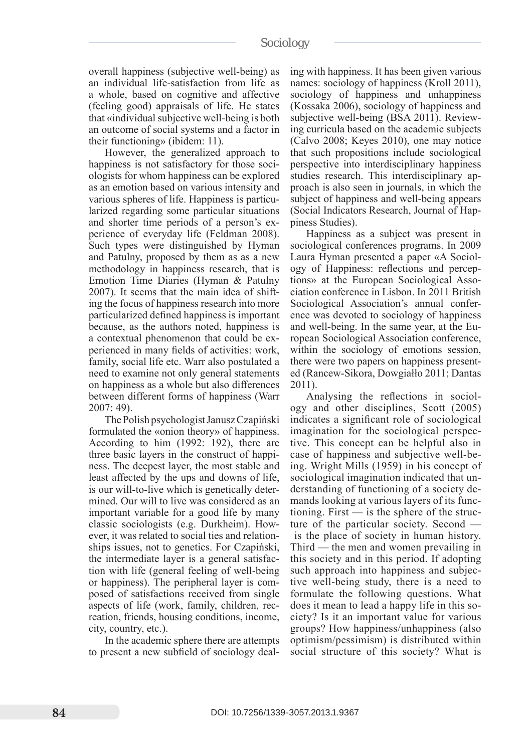# sociology

overall happiness (subjective well-being) as an individual life-satisfaction from life as a whole, based on cognitive and affective (feeling good) appraisals of life. He states that «individual subjective well-being is both an outcome of social systems and a factor in their functioning» (ibidem: 11).

However, the generalized approach to happiness is not satisfactory for those sociologists for whom happiness can be explored as an emotion based on various intensity and various spheres of life. Happiness is particularized regarding some particular situations and shorter time periods of a person's experience of everyday life (Feldman 2008). Such types were distinguished by Hyman and Patulny, proposed by them as as a new methodology in happiness research, that is Emotion Time Diaries (Hyman & Patulny 2007). It seems that the main idea of shifting the focus of happiness research into more particularized defined happiness is important because, as the authors noted, happiness is a contextual phenomenon that could be experienced in many fields of activities: work, family, social life etc. Warr also postulated a need to examine not only general statements on happiness as a whole but also differences between different forms of happiness (Warr 2007: 49).

The Polish psychologist Janusz Czapiński formulated the «onion theory» of happiness. According to him (1992: 192), there are three basic layers in the construct of happiness. The deepest layer, the most stable and least affected by the ups and downs of life, is our will-to-live which is genetically determined. Our will to live was considered as an important variable for a good life by many classic sociologists (e.g. Durkheim). However, it was related to social ties and relationships issues, not to genetics. For Czapiński, the intermediate layer is a general satisfaction with life (general feeling of well-being or happiness). The peripheral layer is composed of satisfactions received from single aspects of life (work, family, children, recreation, friends, housing conditions, income, city, country, etc.).

In the academic sphere there are attempts to present a new subfield of sociology dealing with happiness. It has been given various names: sociology of happiness (Kroll 2011), sociology of happiness and unhappiness (Kossaka 2006), sociology of happiness and subjective well-being (BSA 2011). Reviewing curricula based on the academic subjects (Calvo 2008; Keyes 2010), one may notice that such propositions include sociological perspective into interdisciplinary happiness studies research. This interdisciplinary approach is also seen in journals, in which the subject of happiness and well-being appears (Social Indicators Research, Journal of Happiness Studies).

Happiness as a subject was present in sociological conferences programs. In 2009 Laura Hyman presented a paper «A Sociology of Happiness: reflections and perceptions» at the European Sociological Association conference in Lisbon. In 2011 British Sociological Association's annual conference was devoted to sociology of happiness and well-being. In the same year, at the European Sociological Association conference, within the sociology of emotions session, there were two papers on happiness presented (Rancew-Sikora, Dowgiałło 2011; Dantas 2011).

Analysing the reflections in sociology and other disciplines, Scott (2005) indicates a significant role of sociological imagination for the sociological perspective. This concept can be helpful also in case of happiness and subjective well-being. Wright Mills (1959) in his concept of sociological imagination indicated that understanding of functioning of a society demands looking at various layers of its functioning. First — is the sphere of the structure of the particular society. Second is the place of society in human history. Third — the men and women prevailing in this society and in this period. If adopting such approach into happiness and subjective well-being study, there is a need to formulate the following questions. What does it mean to lead a happy life in this society? Is it an important value for various groups? How happiness/unhappiness (also optimism/pessimism) is distributed within social structure of this society? What is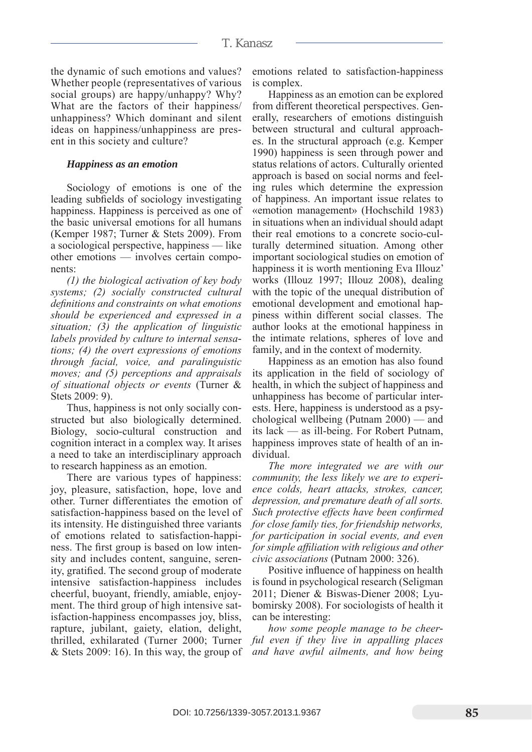## T. Kanasz

the dynamic of such emotions and values? Whether people (representatives of various social groups) are happy/unhappy? Why? What are the factors of their happiness/ unhappiness? Which dominant and silent ideas on happiness/unhappiness are present in this society and culture?

#### *Happiness as an emotion*

Sociology of emotions is one of the leading subfields of sociology investigating happiness. Happiness is perceived as one of the basic universal emotions for all humans (Kemper 1987; Turner & Stets 2009). From a sociological perspective, happiness — like other emotions — involves certain components:

*(1) the biological activation of key body systems; (2) socially constructed cultural definitions and constraints on what emotions should be experienced and expressed in a situation; (3) the application of linguistic labels provided by culture to internal sensations; (4) the overt expressions of emotions through facial, voice, and paralinguistic moves; and (5) perceptions and appraisals of situational objects or events* (Turner & Stets 2009: 9).

Thus, happiness is not only socially constructed but also biologically determined. Biology, socio-cultural construction and cognition interact in a complex way. It arises a need to take an interdisciplinary approach to research happiness as an emotion.

There are various types of happiness: joy, pleasure, satisfaction, hope, love and other. Turner differentiates the emotion of satisfaction-happiness based on the level of its intensity. He distinguished three variants of emotions related to satisfaction-happiness. The first group is based on low intensity and includes content, sanguine, serenity, gratified. The second group of moderate intensive satisfaction-happiness includes cheerful, buoyant, friendly, amiable, enjoyment. The third group of high intensive satisfaction-happiness encompasses joy, bliss, rapture, jubilant, gaiety, elation, delight, thrilled, exhilarated (Turner 2000; Turner & Stets 2009: 16). In this way, the group of emotions related to satisfaction-happiness is complex.

Happiness as an emotion can be explored from different theoretical perspectives. Generally, researchers of emotions distinguish between structural and cultural approaches. In the structural approach (e.g. Kemper 1990) happiness is seen through power and status relations of actors. Culturally oriented approach is based on social norms and feeling rules which determine the expression of happiness. An important issue relates to «emotion management» (Hochschild 1983) in situations when an individual should adapt their real emotions to a concrete socio-culturally determined situation. Among other important sociological studies on emotion of happiness it is worth mentioning Eva Illouz' works (Illouz 1997; Illouz 2008), dealing with the topic of the unequal distribution of emotional development and emotional happiness within different social classes. The author looks at the emotional happiness in the intimate relations, spheres of love and family, and in the context of modernity.

Happiness as an emotion has also found its application in the field of sociology of health, in which the subject of happiness and unhappiness has become of particular interests. Here, happiness is understood as a psychological wellbeing (Putnam 2000) — and its lack — as ill-being. For Robert Putnam, happiness improves state of health of an individual.

*The more integrated we are with our community, the less likely we are to experience colds, heart attacks, strokes, cancer, depression, and premature death of all sorts. Such protective effects have been confirmed for close family ties, for friendship networks, for participation in social events, and even for simple affiliation with religious and other civic associations* (Putnam 2000: 326).

Positive influence of happiness on health is found in psychological research (Seligman 2011; Diener & Biswas-Diener 2008; Lyubomirsky 2008). For sociologists of health it can be interesting:

*how some people manage to be cheerful even if they live in appalling places and have awful ailments, and how being*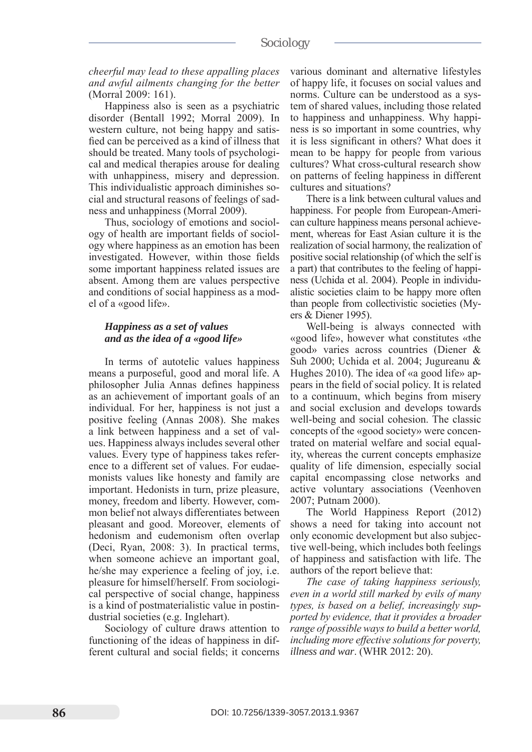# *cheerful may lead to these appalling places and awful ailments changing for the better* (Morral 2009: 161).

Happiness also is seen as a psychiatric disorder (Bentall 1992; Morral 2009). In western culture, not being happy and satisfied can be perceived as a kind of illness that should be treated. Many tools of psychological and medical therapies arouse for dealing with unhappiness, misery and depression. This individualistic approach diminishes social and structural reasons of feelings of sadness and unhappiness (Morral 2009).

Thus, sociology of emotions and sociology of health are important fields of sociology where happiness as an emotion has been investigated. However, within those fields some important happiness related issues are absent. Among them are values perspective and conditions of social happiness as a model of a «good life».

# *Happiness as a set of values and as the idea of a «good life»*

In terms of autotelic values happiness means a purposeful, good and moral life. A philosopher Julia Annas defines happiness as an achievement of important goals of an individual. For her, happiness is not just a positive feeling (Annas 2008). She makes a link between happiness and a set of values. Happiness always includes several other values. Every type of happiness takes reference to a different set of values. For eudaemonists values like honesty and family are important. Hedonists in turn, prize pleasure, money, freedom and liberty. However, common belief not always differentiates between pleasant and good. Moreover, elements of hedonism and eudemonism often overlap (Deci, Ryan, 2008: 3). In practical terms, when someone achieve an important goal, he/she may experience a feeling of joy, i.e. pleasure for himself/herself. From sociological perspective of social change, happiness is a kind of postmaterialistic value in postindustrial societies (e.g. Inglehart).

Sociology of culture draws attention to functioning of the ideas of happiness in different cultural and social fields; it concerns various dominant and alternative lifestyles of happy life, it focuses on social values and norms. Culture can be understood as a system of shared values, including those related to happiness and unhappiness. Why happiness is so important in some countries, why it is less significant in others? What does it mean to be happy for people from various cultures? What cross-cultural research show on patterns of feeling happiness in different cultures and situations?

There is a link between cultural values and happiness. For people from European-American culture happiness means personal achievement, whereas for East Asian culture it is the realization of social harmony, the realization of positive social relationship (of which the self is a part) that contributes to the feeling of happiness (Uchida et al. 2004). People in individualistic societies claim to be happy more often than people from collectivistic societies (Myers & Diener 1995).

Well-being is always connected with «good life», however what constitutes «the good» varies across countries (Diener & Suh 2000; Uchida et al. 2004; Jugureanu & Hughes 2010). The idea of «a good life» appears in the field of social policy. It is related to a continuum, which begins from misery and social exclusion and develops towards well-being and social cohesion. The classic concepts of the «good society» were concentrated on material welfare and social equality, whereas the current concepts emphasize quality of life dimension, especially social capital encompassing close networks and active voluntary associations (Veenhoven 2007; Putnam 2000).

The World Happiness Report (2012) shows a need for taking into account not only economic development but also subjective well-being, which includes both feelings of happiness and satisfaction with life. The authors of the report believe that:

*The case of taking happiness seriously, even in a world still marked by evils of many types, is based on a belief, increasingly supported by evidence, that it provides a broader range of possible ways to build a better world, including more effective solutions for poverty, illness and war*. (WHR 2012: 20).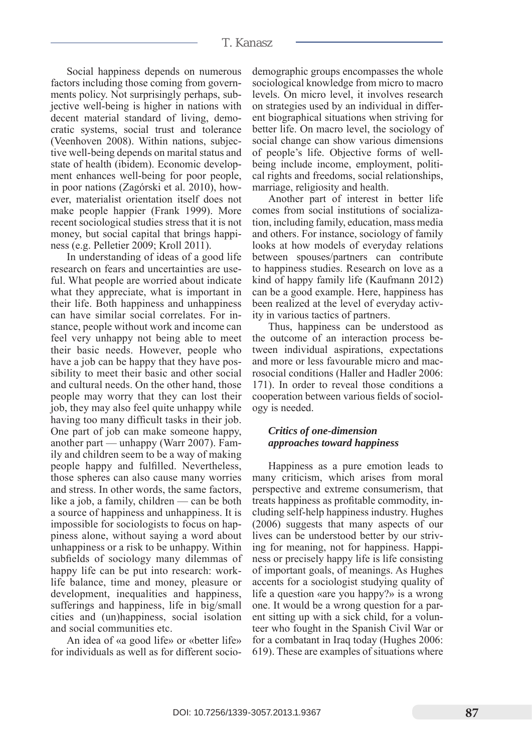#### T. Kanasz

Social happiness depends on numerous factors including those coming from governments policy. Not surprisingly perhaps, subjective well-being is higher in nations with decent material standard of living, democratic systems, social trust and tolerance (Veenhoven 2008). Within nations, subjective well-being depends on marital status and state of health (ibidem). Economic development enhances well-being for poor people, in poor nations (Zagórski et al. 2010), however, materialist orientation itself does not make people happier (Frank 1999). More recent sociological studies stress that it is not money, but social capital that brings happiness (e.g. Pelletier 2009; Kroll 2011).

In understanding of ideas of a good life research on fears and uncertainties are useful. What people are worried about indicate what they appreciate, what is important in their life. Both happiness and unhappiness can have similar social correlates. For instance, people without work and income can feel very unhappy not being able to meet their basic needs. However, people who have a job can be happy that they have possibility to meet their basic and other social and cultural needs. On the other hand, those people may worry that they can lost their job, they may also feel quite unhappy while having too many difficult tasks in their job. One part of job can make someone happy, another part — unhappy (Warr 2007). Family and children seem to be a way of making people happy and fulfilled. Nevertheless, those spheres can also cause many worries and stress. In other words, the same factors, like a job, a family, children — can be both a source of happiness and unhappiness. It is impossible for sociologists to focus on happiness alone, without saying a word about unhappiness or a risk to be unhappy. Within subfields of sociology many dilemmas of happy life can be put into research: worklife balance, time and money, pleasure or development, inequalities and happiness, sufferings and happiness, life in big/small cities and (un)happiness, social isolation and social communities etc.

An idea of «a good life» or «better life» for individuals as well as for different sociodemographic groups encompasses the whole sociological knowledge from micro to macro levels. On micro level, it involves research on strategies used by an individual in different biographical situations when striving for better life. On macro level, the sociology of social change can show various dimensions of people's life. Objective forms of wellbeing include income, employment, political rights and freedoms, social relationships, marriage, religiosity and health.

Another part of interest in better life comes from social institutions of socialization, including family, education, mass media and others. For instance, sociology of family looks at how models of everyday relations between spouses/partners can contribute to happiness studies. Research on love as a kind of happy family life (Kaufmann 2012) can be a good example. Here, happiness has been realized at the level of everyday activity in various tactics of partners.

Thus, happiness can be understood as the outcome of an interaction process between individual aspirations, expectations and more or less favourable micro and macrosocial conditions (Haller and Hadler 2006: 171). In order to reveal those conditions a cooperation between various fields of sociology is needed.

#### *Critics of one-dimension approaches toward happiness*

Happiness as a pure emotion leads to many criticism, which arises from moral perspective and extreme consumerism, that treats happiness as profitable commodity, including self-help happiness industry. Hughes (2006) suggests that many aspects of our lives can be understood better by our striving for meaning, not for happiness. Happiness or precisely happy life is life consisting of important goals, of meanings. As Hughes accents for a sociologist studying quality of life a question «are you happy?» is a wrong one. It would be a wrong question for a parent sitting up with a sick child, for a volunteer who fought in the Spanish Civil War or for a combatant in Iraq today (Hughes 2006: 619). These are examples of situations where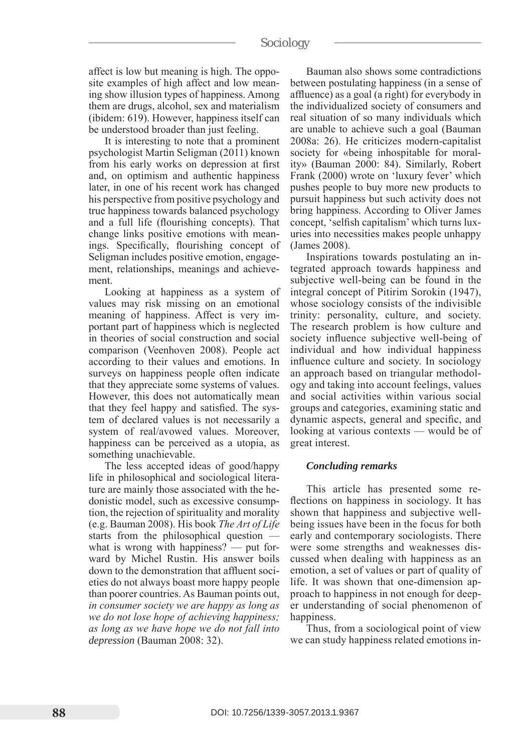# sociology

affect is low but meaning is high. The opposite examples of high affect and low meaning show illusion types of happiness. Among them are drugs, alcohol, sex and materialism (ibidem: 619). However, happiness itself can be understood broader than just feeling.

It is interesting to note that a prominent psychologist Martin Seligman (2011) known from his early works on depression at first and, on optimism and authentic happiness later, in one of his recent work has changed his perspective from positive psychology and true happiness towards balanced psychology and a full life (flourishing concepts). That change links positive emotions with meanings. Specifically, flourishing concept of Seligman includes positive emotion, engagement, relationships, meanings and achievement.

Looking at happiness as a system of values may risk missing on an emotional meaning of happiness. Affect is very important part of happiness which is neglected in theories of social construction and social comparison (Veenhoven 2008). People act according to their values and emotions. In surveys on happiness people often indicate that they appreciate some systems of values. However, this does not automatically mean that they feel happy and satisfied. The system of declared values is not necessarily a system of real/avowed values. Moreover, happiness can be perceived as a utopia, as something unachievable.

The less accepted ideas of good/happy life in philosophical and sociological literature are mainly those associated with the hedonistic model, such as excessive consumption, the rejection of spirituality and morality (e.g. Bauman 2008). His book *The Art of Life* starts from the philosophical question what is wrong with happiness? — put forward by Michel Rustin. His answer boils down to the demonstration that affluent societies do not always boast more happy people than poorer countries. As Bauman points out, *in consumer society we are happy as long as we do not lose hope of achieving happiness; as long as we have hope we do not fall into depression* (Bauman 2008: 32).

Bauman also shows some contradictions between postulating happiness (in a sense of affluence) as a goal (a right) for everybody in the individualized society of consumers and real situation of so many individuals which are unable to achieve such a goal (Bauman 2008a: 26). He criticizes modern-capitalist society for «being inhospitable for morality» (Bauman 2000: 84). Similarly, Robert Frank (2000) wrote on 'luxury fever' which pushes people to buy more new products to pursuit happiness but such activity does not bring happiness. According to Oliver James concept, 'selfish capitalism' which turns luxuries into necessities makes people unhappy (James 2008).

Inspirations towards postulating an integrated approach towards happiness and subjective well-being can be found in the integral concept of Pitirim Sorokin (1947), whose sociology consists of the indivisible trinity: personality, culture, and society. The research problem is how culture and society influence subjective well-being of individual and how individual happiness influence culture and society. In sociology an approach based on triangular methodology and taking into account feelings, values and social activities within various social groups and categories, examining static and dynamic aspects, general and specific, and looking at various contexts — would be of great interest.

#### *Concluding remarks*

This article has presented some reflections on happiness in sociology. It has shown that happiness and subjective wellbeing issues have been in the focus for both early and contemporary sociologists. There were some strengths and weaknesses discussed when dealing with happiness as an emotion, a set of values or part of quality of life. It was shown that one-dimension approach to happiness in not enough for deeper understanding of social phenomenon of happiness.

Thus, from a sociological point of view we can study happiness related emotions in-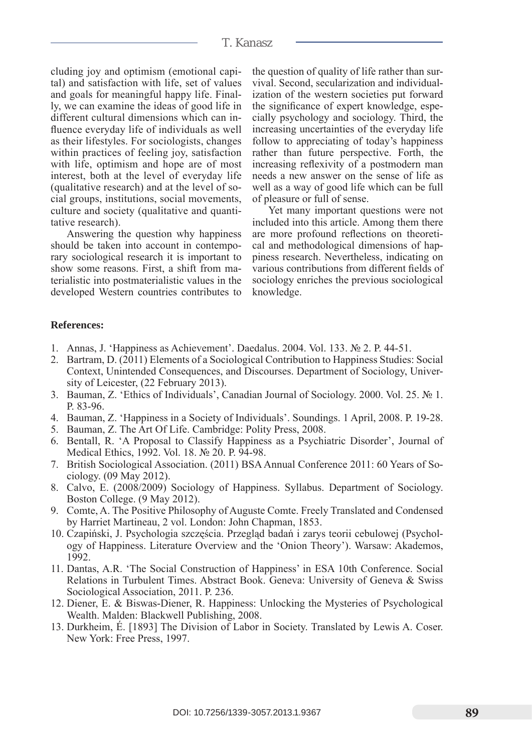#### T. Kanasz

cluding joy and optimism (emotional capital) and satisfaction with life, set of values and goals for meaningful happy life. Finally, we can examine the ideas of good life in different cultural dimensions which can influence everyday life of individuals as well as their lifestyles. For sociologists, changes within practices of feeling joy, satisfaction with life, optimism and hope are of most interest, both at the level of everyday life (qualitative research) and at the level of social groups, institutions, social movements, culture and society (qualitative and quantitative research).

Answering the question why happiness should be taken into account in contemporary sociological research it is important to show some reasons. First, a shift from materialistic into postmaterialistic values in the developed Western countries contributes to the question of quality of life rather than survival. Second, secularization and individualization of the western societies put forward the significance of expert knowledge, especially psychology and sociology. Third, the increasing uncertainties of the everyday life follow to appreciating of today's happiness rather than future perspective. Forth, the increasing reflexivity of a postmodern man needs a new answer on the sense of life as well as a way of good life which can be full of pleasure or full of sense.

Yet many important questions were not included into this article. Among them there are more profound reflections on theoretical and methodological dimensions of happiness research. Nevertheless, indicating on various contributions from different fields of sociology enriches the previous sociological knowledge.

#### **References:**

- 1. Annas, J. 'Happiness as Achievement'. Daedalus. 2004. Vol. 133. № 2. p. 44-51.
- 2. Bartram, D. (2011) Elements of a Sociological Contribution to Happiness Studies: Social Context, Unintended Consequences, and Discourses. Department of Sociology, University of Leicester, (22 February 2013).
- 3. Bauman, Z. 'Ethics of Individuals', Canadian Journal of Sociology. 2000. Vol. 25. № 1. p. 83-96.
- 4. Bauman, Z. 'Happiness in a Society of Individuals'. Soundings. 1 April, 2008. p. 19-28.
- 5. Bauman, Z. The Art Of Life. Cambridge: Polity Press, 2008.
- 6. Bentall, R. 'A Proposal to Classify Happiness as a Psychiatric Disorder', Journal of Medical Ethics, 1992. Vol. 18. № 20. p. 94-98.
- 7. British Sociological Association. (2011) BSA Annual Conference 2011: 60 Years of Sociology. (09 May 2012).
- 8. Calvo, E. (2008/2009) Sociology of Happiness. Syllabus. Department of Sociology. Boston College. (9 May 2012).
- 9. Comte, A. The Positive Philosophy of Auguste Comte. Freely Translated and Condensed by Harriet Martineau, 2 vol. London: John Chapman, 1853.
- 10. Czapiński, J. Psychologia szczęścia. Przegląd badań i zarys teorii cebulowej (Psychology of Happiness. Literature Overview and the 'Onion Theory'). Warsaw: Akademos, 1992.
- 11. Dantas, A.R. 'The Social Construction of Happiness' in ESA 10th Conference. Social Relations in Turbulent Times. Abstract Book. Geneva: University of Geneva & Swiss Sociological Association, 2011. P. 236.
- 12. Diener, E. & Biswas-Diener, R. Happiness: Unlocking the Mysteries of Psychological Wealth. Malden: Blackwell Publishing, 2008.
- 13. Durkheim, É. [1893] The Division of Labor in Society. Translated by Lewis A. Coser. New York: Free Press, 1997.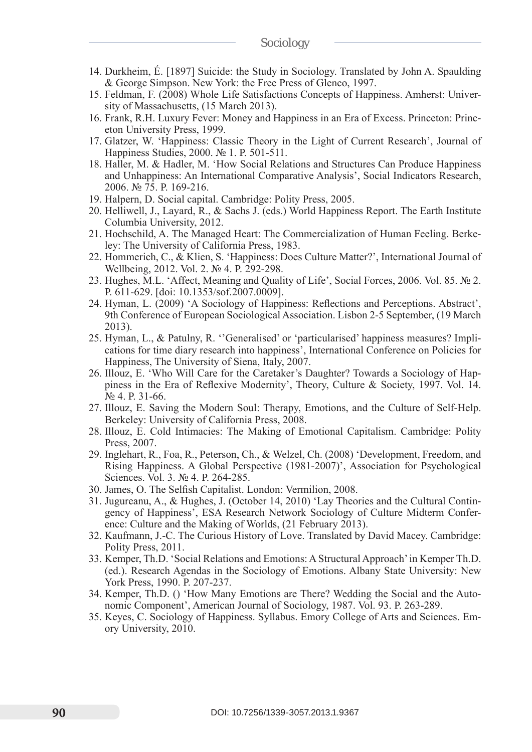- 14. Durkheim, É. [1897] Suicide: the Study in Sociology. Translated by John A. Spaulding & George Simpson. New York: the Free Press of Glenco, 1997.
- 15. Feldman, F. (2008) Whole Life Satisfactions Concepts of Happiness. Amherst: University of Massachusetts, (15 March 2013).
- 16. Frank, R.H. Luxury Fever: Money and Happiness in an Era of Excess. Princeton: Princeton University Press, 1999.
- 17. Glatzer, W. 'Happiness: Classic Theory in the Light of Current Research', Journal of Happiness Studies, 2000. № 1. p. 501-511.
- 18. Haller, M. & Hadler, M. 'How Social Relations and Structures Can Produce Happiness and Unhappiness: An International Comparative Analysis', Social Indicators Research, 2006. № 75. p. 169-216.
- 19. Halpern, D. Social capital. Cambridge: Polity Press, 2005.
- 20. Helliwell, J., Layard, R., & Sachs J. (eds.) World Happiness Report. The Earth Institute Columbia University, 2012.
- 21. Hochschild, A. The Managed Heart: The Commercialization of Human Feeling. Berkeley: The University of California Press, 1983.
- 22. Hommerich, C., & Klien, S. 'Happiness: Does Culture Matter?', International Journal of Wellbeing, 2012. Vol. 2. № 4. P. 292-298.
- 23. Hughes, M.L. 'Affect, Meaning and Quality of Life', Social Forces, 2006. Vol. 85. № 2. p. 611-629. [doi: 10.1353/sof.2007.0009].
- 24. Hyman, L. (2009) 'A Sociology of Happiness: Reflections and Perceptions. Abstract', 9th Conference of European Sociological Association. Lisbon 2-5 September, (19 March 2013).
- 25. Hyman, L., & Patulny, R. ''Generalised' or 'particularised' happiness measures? Implications for time diary research into happiness', International Conference on Policies for Happiness, The University of Siena, Italy, 2007.
- 26. Illouz, E. 'Who Will Care for the Caretaker's Daughter? Towards a Sociology of Happiness in the Era of Reflexive Modernity', Theory, Culture & Society, 1997. Vol. 14. № 4. p. 31-66.
- 27. Illouz, E. Saving the Modern Soul: Therapy, Emotions, and the Culture of Self-Help. Berkeley: University of California Press, 2008.
- 28. Illouz, E. Cold Intimacies: The Making of Emotional Capitalism. Cambridge: Polity Press, 2007.
- 29. Inglehart, R., Foa, R., Peterson, Ch., & Welzel, Ch. (2008) 'Development, Freedom, and Rising Happiness. A Global Perspective (1981-2007)', Association for Psychological Sciences. Vol. 3. № 4. P. 264-285.
- 30. James, O. The Selfish Capitalist. London: Vermilion, 2008.
- 31. Jugureanu, A., & Hughes, J. (October 14, 2010) 'Lay Theories and the Cultural Contingency of Happiness', ESA Research Network Sociology of Culture Midterm Conference: Culture and the Making of Worlds, (21 February 2013).
- 32. Kaufmann, J.-C. The Curious History of Love. Translated by David Macey. Cambridge: Polity Press, 2011.
- 33. Kemper, Th.D. 'Social Relations and Emotions: A Structural Approach' in Kemper Th.D. (ed.). Research Agendas in the Sociology of Emotions. Albany State University: New York Press, 1990. P. 207-237.
- 34. Kemper, Th.D. () 'How Many Emotions are There? Wedding the Social and the Autonomic Component', American Journal of Sociology, 1987. Vol. 93. p. 263-289.
- 35. Keyes, C. Sociology of Happiness. Syllabus. Emory College of Arts and Sciences. Emory University, 2010.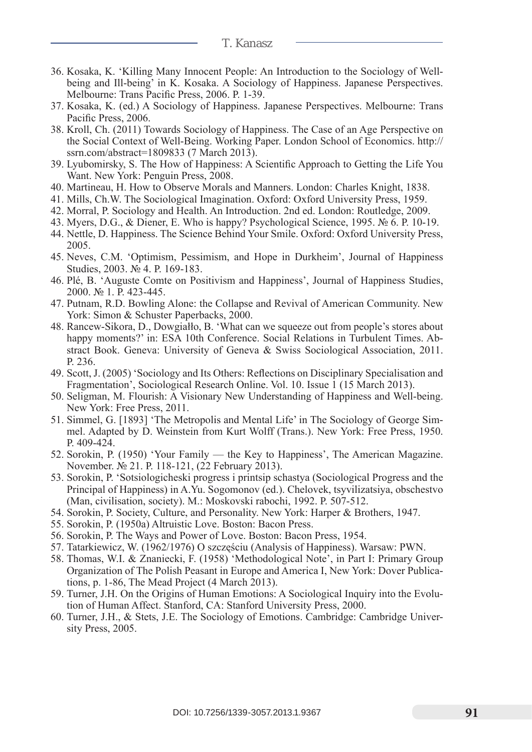- T. Kanasz
- 36. Kosaka, K. 'Killing Many Innocent People: An Introduction to the Sociology of Wellbeing and Ill-being' in K. Kosaka. A Sociology of Happiness. Japanese Perspectives. Melbourne: Trans Pacific Press, 2006. p. 1-39.
- 37. Kosaka, K. (ed.) A Sociology of Happiness. Japanese Perspectives. Melbourne: Trans Pacific Press, 2006.
- 38. Kroll, Ch. (2011) Towards Sociology of Happiness. The Case of an Age Perspective on the Social Context of Well-Being. Working Paper. London School of Economics. http:// ssrn.com/abstract=1809833 (7 March 2013).
- 39. Lyubomirsky, S. The How of Happiness: A Scientific Approach to Getting the Life You Want. New York: Penguin Press, 2008.
- 40. Martineau, H. How to Observe Morals and Manners. London: Charles Knight, 1838.
- 41. Mills, Ch.W. The Sociological Imagination. Oxford: Oxford University Press, 1959.
- 42. Morral, P. Sociology and Health. An Introduction. 2nd ed. London: Routledge, 2009.
- 43. Myers, D.G., & Diener, E. Who is happy? Psychological Science, 1995. № 6. p. 10-19.
- 44. Nettle, D. Happiness. The Science Behind Your Smile. Oxford: Oxford University Press, 2005.
- 45. Neves, C.M. 'Optimism, Pessimism, and Hope in Durkheim', Journal of Happiness Studies, 2003. № 4. P. 169-183.
- 46. Plé, B. 'Auguste Comte on Positivism and Happiness', Journal of Happiness Studies, 2000. № 1. p. 423-445.
- 47. Putnam, R.D. Bowling Alone: the Collapse and Revival of American Community. New York: Simon & Schuster Paperbacks, 2000.
- 48. Rancew-Sikora, D., Dowgiałło, B. 'What can we squeeze out from people's stores about happy moments?' in: ESA 10th Conference. Social Relations in Turbulent Times. Abstract Book. Geneva: University of Geneva & Swiss Sociological Association, 2011. p. 236.
- 49. Scott, J. (2005) 'Sociology and Its Others: Reflections on Disciplinary Specialisation and Fragmentation', Sociological Research Online. Vol. 10. Issue 1 (15 March 2013).
- 50. Seligman, M. Flourish: A Visionary New Understanding of Happiness and Well-being. New York: Free Press, 2011.
- 51. Simmel, G. [1893] 'The Metropolis and Mental Life' in The Sociology of George Simmel. Adapted by D. Weinstein from Kurt Wolff (Trans.). New York: Free Press, 1950. p. 409-424.
- 52. Sorokin, P. (1950) 'Your Family the Key to Happiness', The American Magazine. November. № 21. p. 118-121, (22 February 2013).
- 53. Sorokin, P. 'Sotsiologicheski progress i printsip schastya (Sociological Progress and the Principal of Happiness) in A.Yu. Sogomonov (ed.). Chelovek, tsyvilizatsiya, obschestvo (Man, civilisation, society). M.: Moskovski rabochi, 1992. p. 507-512.
- 54. Sorokin, P. Society, Culture, and Personality. New York: Harper & Brothers, 1947.
- 55. Sorokin, P. (1950a) Altruistic Love. Boston: Bacon Press.
- 56. Sorokin, P. The Ways and Power of Love. Boston: Bacon Press, 1954.
- 57. Tatarkiewicz, W. (1962/1976) O szczęściu (Analysis of Happiness). Warsaw: PWN.
- 58. Thomas, W.I. & Znaniecki, F. (1958) 'Methodological Note', in Part I: Primary Group Organization of The Polish Peasant in Europe and America I, New York: Dover Publications, p. 1-86, The Mead Project (4 March 2013).
- 59. Turner, J.H. On the Origins of Human Emotions: A Sociological Inquiry into the Evolution of Human Affect. Stanford, CA: Stanford University Press, 2000.
- 60. Turner, J.H., & Stets, J.E. The Sociology of Emotions. Cambridge: Cambridge University Press, 2005.